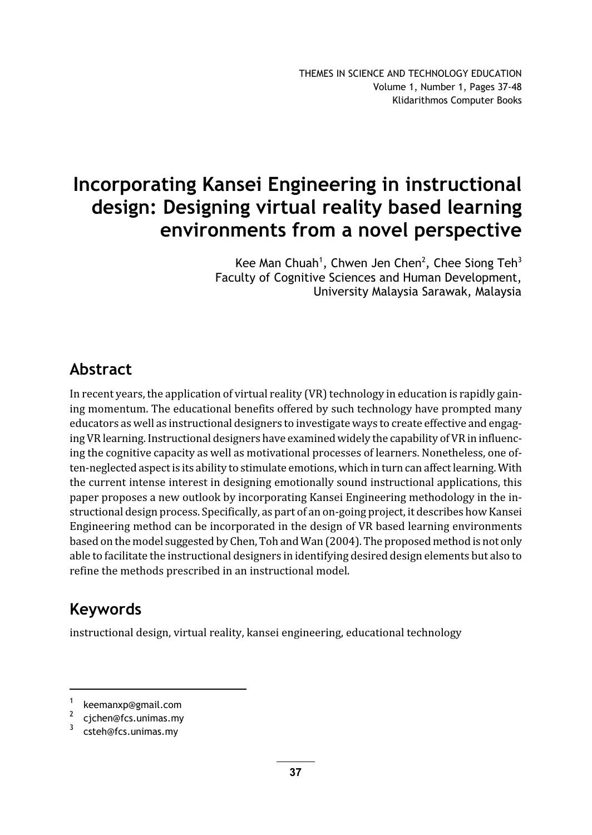# Incorporating Kansei Engineering in instructional design: Designing virtual reality based learning environments from a novel perspective

Kee Man Chuah<sup>1</sup>, Chwen Jen Chen<sup>2</sup>, Chee Siong Teh<sup>3</sup> Faculty of Cognitive Sciences and Human Development, University Malaysia Sarawak, Malaysia

## Abstract

In recent years, the application of virtual reality (VR) technology in education is rapidly gaining momentum. The educational benefits offered by such technology have prompted many educators as well as instructional designers to investigate ways to create effective and engaging VR learning. Instructional designers have examined widely the capability of VR in influencing the cognitive capacity as well as motivational processes of learners. Nonetheless, one often-neglected aspect is its ability to stimulate emotions, which in turn can affect learning. With the current intense interest in designing emotionally sound instructional applications, this paper proposes a new outlook by incorporating Kansei Engineering methodology in the instructional design process. Specifically, as part of an on-going project, it describes how Kansei Engineering method can be incorporated in the design of VR based learning environments based on the model suggested by Chen, Toh and Wan (2004). The proposed method is not only able to facilitate the instructional designers in identifying desired design elements but also to refine the methods prescribed in an instructional model.

## Keywords

instructional design, virtual reality, kansei engineering, educational technology

<sup>1</sup> keemanxp@gmail.com

<sup>2</sup> cjchen@fcs.unimas.my

<sup>3</sup> csteh@fcs.unimas.my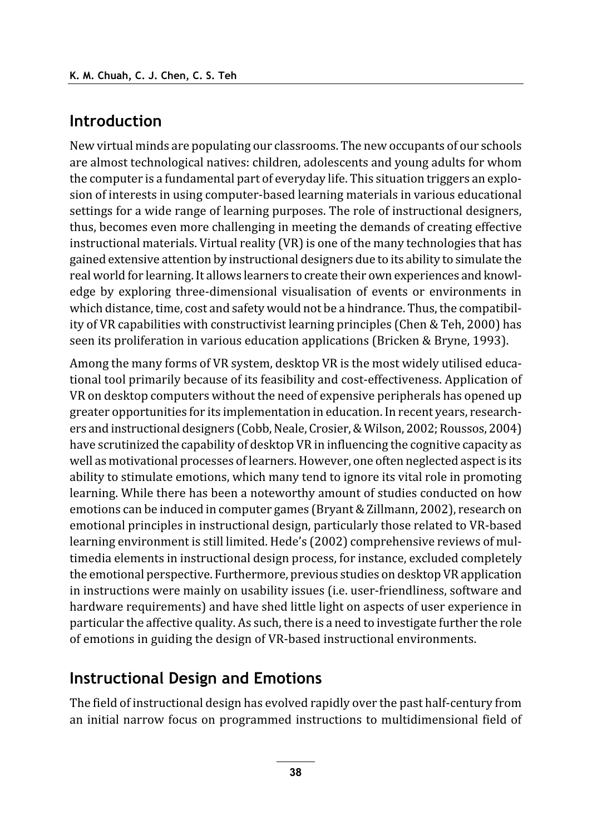### Introduction

New virtual minds are populating our classrooms. The new occupants of our schools are almost technological natives: children, adolescents and young adults for whom the computer is a fundamental part of everyday life. This situation triggers an explosion of interests in using computer-based learning materials in various educational settings for a wide range of learning purposes. The role of instructional designers, thus, becomes even more challenging in meeting the demands of creating effective instructional materials. Virtual reality (VR) is one of the many technologies that has gained extensive attention by instructional designers due to its ability to simulate the real world for learning. It allows learners to create their own experiences and knowledge by exploring three-dimensional visualisation of events or environments in which distance, time, cost and safety would not be a hindrance. Thus, the compatibility of VR capabilities with constructivist learning principles (Chen & Teh, 2000) has seen its proliferation in various education applications (Bricken & Bryne, 1993).

Among the many forms of VR system, desktop VR is the most widely utilised educational tool primarily because of its feasibility and cost-effectiveness. Application of VR on desktop computers without the need of expensive peripherals has opened up greater opportunities for its implementation in education. In recent years, researchers and instructional designers (Cobb, Neale, Crosier, & Wilson, 2002; Roussos, 2004) have scrutinized the capability of desktop VR in influencing the cognitive capacity as well as motivational processes of learners. However, one often neglected aspect is its ability to stimulate emotions, which many tend to ignore its vital role in promoting learning. While there has been a noteworthy amount of studies conducted on how emotions can be induced in computer games (Bryant & Zillmann, 2002), research on emotional principles in instructional design, particularly those related to VR-based learning environment is still limited. Hede's (2002) comprehensive reviews of multimedia elements in instructional design process, for instance, excluded completely the emotional perspective. Furthermore, previous studies on desktop VR application in instructions were mainly on usability issues (i.e. user-friendliness, software and hardware requirements) and have shed little light on aspects of user experience in particular the affective quality. As such, there is a need to investigate further the role of emotions in guiding the design of VR-based instructional environments.

#### **Instructional Design and Emotions**

The field of instructional design has evolved rapidly over the past half-century from an initial narrow focus on programmed instructions to multidimensional field of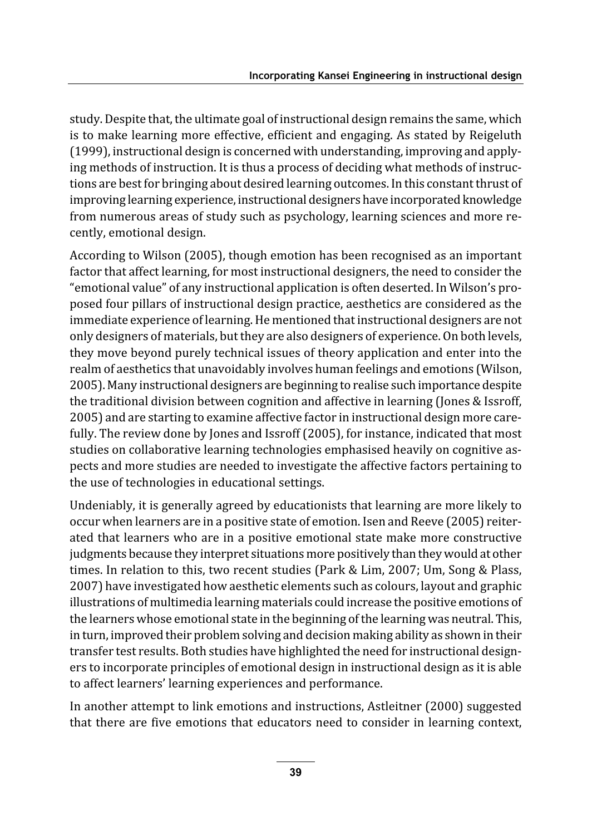study. Despite that, the ultimate goal of instructional design remains the same, which is to make learning more effective, efficient and engaging. As stated by Reigeluth (1999), instructional design is concerned with understanding, improving and applying methods of instruction. It is thus a process of deciding what methods of instructions are best for bringing about desired learning outcomes. In this constant thrust of improving learning experience, instructional designers have incorporated knowledge from numerous areas of study such as psychology, learning sciences and more recently, emotional design.

According to Wilson (2005), though emotion has been recognised as an important factor that affect learning, for most instructional designers, the need to consider the "emotional value" of any instructional application is often deserted. In Wilson's proposed four pillars of instructional design practice, aesthetics are considered as the immediate experience of learning. He mentioned that instructional designers are not only designers of materials, but they are also designers of experience. On both levels, they move beyond purely technical issues of theory application and enter into the realm of aesthetics that unavoidably involves human feelings and emotions (Wilson, 2005). Many instructional designers are beginning to realise such importance despite the traditional division between cognition and affective in learning (Jones & Issroff, 2005) and are starting to examine affective factor in instructional design more carefully. The review done by Jones and Issroff (2005), for instance, indicated that most studies on collaborative learning technologies emphasised heavily on cognitive aspects and more studies are needed to investigate the affective factors pertaining to the use of technologies in educational settings.

Undeniably, it is generally agreed by educationists that learning are more likely to occur when learners are in a positive state of emotion. Isen and Reeve (2005) reiterated that learners who are in a positive emotional state make more constructive judgments because they interpret situations more positively than they would at other times. In relation to this, two recent studies (Park & Lim, 2007; Um, Song & Plass, 2007) have investigated how aesthetic elements such as colours, layout and graphic illustrations of multimedia learning materials could increase the positive emotions of the learners whose emotional state in the beginning of the learning was neutral. This, in turn, improved their problem solving and decision making ability as shown in their transfer test results. Both studies have highlighted the need for instructional designers to incorporate principles of emotional design in instructional design as it is able to affect learners' learning experiences and performance.

In another attempt to link emotions and instructions, Astleitner (2000) suggested that there are five emotions that educators need to consider in learning context,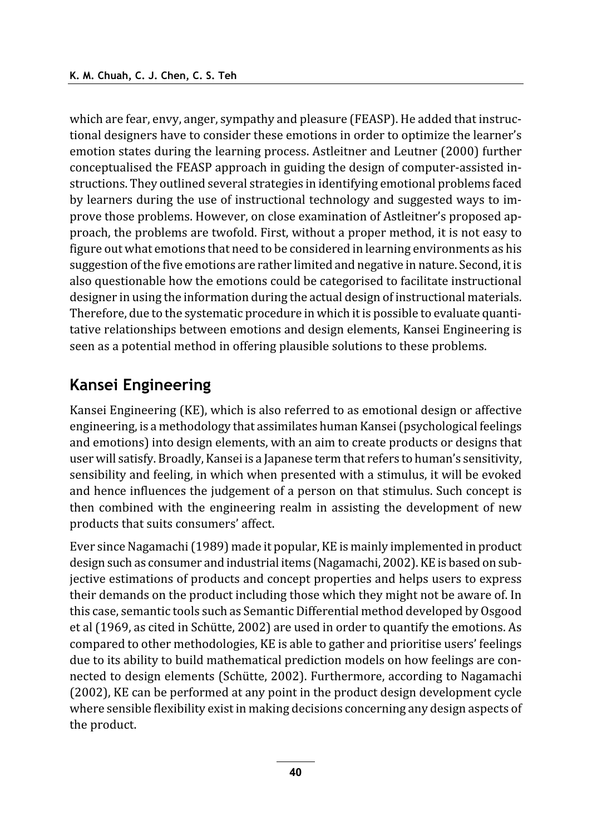which are fear, envy, anger, sympathy and pleasure (FEASP). He added that instructional designers have to consider these emotions in order to optimize the learner's emotion states during the learning process. Astleitner and Leutner (2000) further conceptualised the FEASP approach in guiding the design of computer-assisted instructions. They outlined several strategies in identifying emotional problems faced by learners during the use of instructional technology and suggested ways to improve those problems. However, on close examination of Astleitner's proposed approach, the problems are twofold. First, without a proper method, it is not easy to figure out what emotions that need to be considered in learning environments as his suggestion of the five emotions are rather limited and negative in nature. Second, it is also questionable how the emotions could be categorised to facilitate instructional designer in using the information during the actual design of instructional materials. Therefore, due to the systematic procedure in which it is possible to evaluate quantitative relationships between emotions and design elements, Kansei Engineering is seen as a potential method in offering plausible solutions to these problems.

### **Kansei Engineering**

Kansei Engineering (KE), which is also referred to as emotional design or affective engineering, is a methodology that assimilates human Kansei (psychological feelings and emotions) into design elements, with an aim to create products or designs that user will satisfy. Broadly, Kansei is a Japanese term that refers to human's sensitivity, sensibility and feeling, in which when presented with a stimulus, it will be evoked and hence influences the judgement of a person on that stimulus. Such concept is then combined with the engineering realm in assisting the development of new products that suits consumers' affect.

Ever since Nagamachi (1989) made it popular, KE is mainly implemented in product design such as consumer and industrial items (Nagamachi, 2002). KE is based on subjective estimations of products and concept properties and helps users to express their demands on the product including those which they might not be aware of. In this case, semantic tools such as Semantic Differential method developed by Osgood et al (1969, as cited in Schütte, 2002) are used in order to quantify the emotions. As compared to other methodologies, KE is able to gather and prioritise users' feelings due to its ability to build mathematical prediction models on how feelings are connected to design elements (Schütte, 2002). Furthermore, according to Nagamachi (2002), KE can be performed at any point in the product design development cycle where sensible flexibility exist in making decisions concerning any design aspects of the product.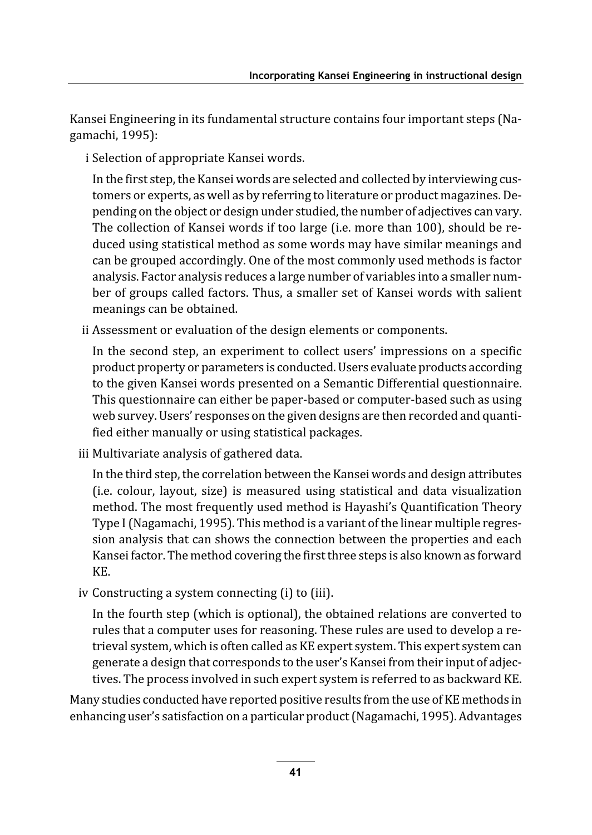Kansei Engineering in its fundamental structure contains four important steps (Nagamachi, 1995):

i Selection of appropriate Kansei words.

In the first step, the Kansei words are selected and collected by interviewing customers or experts, as well as by referring to literature or product magazines. Depending on the object or design under studied, the number of adjectives can vary. The collection of Kansei words if too large (i.e. more than 100), should be reduced using statistical method as some words may have similar meanings and can be grouped accordingly. One of the most commonly used methods is factor analysis. Factor analysis reduces a large number of variables into a smaller number of groups called factors. Thus, a smaller set of Kansei words with salient meanings can be obtained.

ii Assessment or evaluation of the design elements or components.

In the second step, an experiment to collect users' impressions on a specific product property or parameters is conducted. Users evaluate products according to the given Kansei words presented on a Semantic Differential questionnaire. This questionnaire can either be paper-based or computer-based such as using web survey. Users' responses on the given designs are then recorded and quantified either manually or using statistical packages.

iii Multivariate analysis of gathered data.

In the third step, the correlation between the Kansei words and design attributes (i.e. colour, layout, size) is measured using statistical and data visualization method. The most frequently used method is Hayashi's Quantification Theory Type I (Nagamachi, 1995). This method is a variant of the linear multiple regression analysis that can shows the connection between the properties and each Kansei factor. The method covering the first three steps is also known as forward KE.

iv Constructing a system connecting (i) to (iii).

In the fourth step (which is optional), the obtained relations are converted to rules that a computer uses for reasoning. These rules are used to develop a retrieval system, which is often called as KE expert system. This expert system can generate a design that corresponds to the user's Kansei from their input of adjectives. The process involved in such expert system is referred to as backward KE.

Many studies conducted have reported positive results from the use of KE methods in enhancing user's satisfaction on a particular product (Nagamachi, 1995). Advantages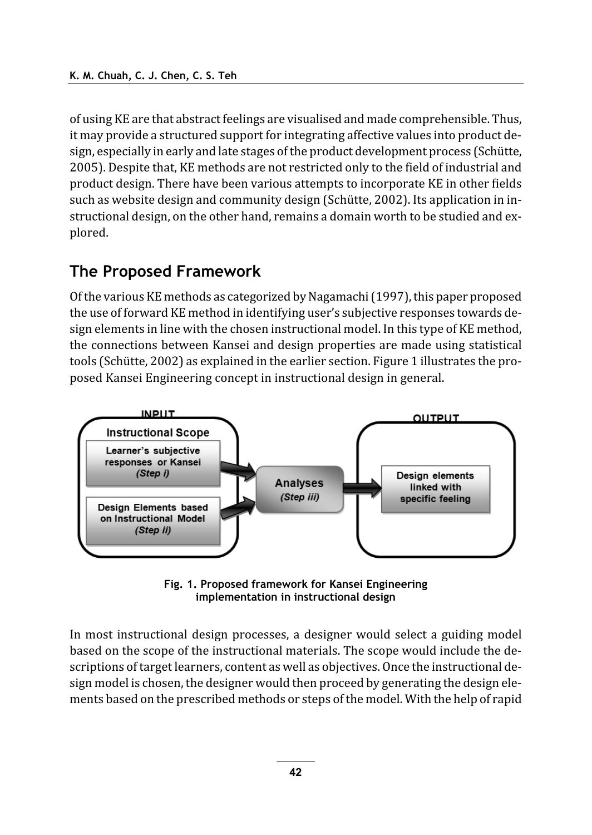of using KE are that abstract feelings are visualised and made comprehensible. Thus, it may provide a structured support for integrating affective values into product design, especially in early and late stages of the product development process (Schütte, 2005). Despite that, KE methods are not restricted only to the field of industrial and product design. There have been various attempts to incorporate KE in other fields such as website design and community design (Schütte, 2002). Its application in instructional design, on the other hand, remains a domain worth to be studied and explored.

#### The Proposed Framework

Of the various KE methods as categorized by Nagamachi (1997), this paper proposed the use of forward KE method in identifying user's subjective responses towards design elements in line with the chosen instructional model. In this type of KE method, the connections between Kansei and design properties are made using statistical tools (Schütte, 2002) as explained in the earlier section. Figure 1 illustrates the proposed Kansei Engineering concept in instructional design in general.



Fig. 1. Proposed framework for Kansei Engineering implementation in instructional design

In most instructional design processes, a designer would select a guiding model based on the scope of the instructional materials. The scope would include the descriptions of target learners, content as well as objectives. Once the instructional design model is chosen, the designer would then proceed by generating the design elements based on the prescribed methods or steps of the model. With the help of rapid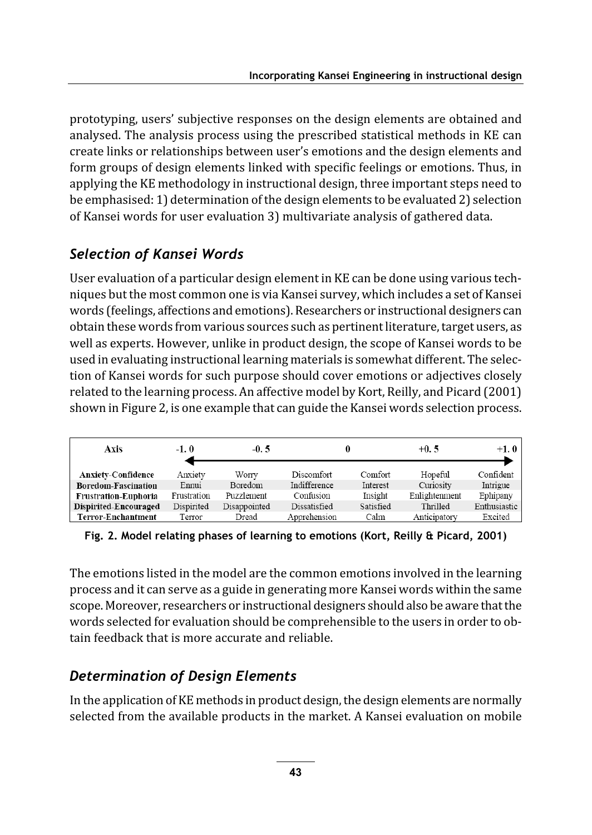prototyping, users' subjective responses on the design elements are obtained and analysed. The analysis process using the prescribed statistical methods in KE can create links or relationships between user's emotions and the design elements and form groups of design elements linked with specific feelings or emotions. Thus, in applying the KE methodology in instructional design, three important steps need to be emphasised: 1) determination of the design elements to be evaluated 2) selection of Kansei words for user evaluation 3) multivariate analysis of gathered data.

#### Selection of Kansei Words

User evaluation of a particular design element in KE can be done using various techniques but the most common one is via Kansei survey, which includes a set of Kansei words (feelings, affections and emotions). Researchers or instructional designers can obtain these words from various sources such as pertinent literature, target users, as well as experts. However, unlike in product design, the scope of Kansei words to be used in evaluating instructional learning materials is somewhat different. The selection of Kansei words for such purpose should cover emotions or adjectives closely related to the learning process. An affective model by Kort, Reilly, and Picard (2001) shown in Figure 2, is one example that can guide the Kansei words selection process.

| <b>Axis</b>                 | $-1.0$      | $-0.5$       |              |           | $+0.5$        | $+1.0$       |
|-----------------------------|-------------|--------------|--------------|-----------|---------------|--------------|
| <b>Anxiety-Confidence</b>   | Anxiety     | Worry        | Discomfort   | Comfort   | Hopeful       | Confident    |
| <b>Boredom-Fascination</b>  | Ennui       | Boredom      | Indifference | Interest  | Curiosity     | Intrigue     |
| <b>Frustration-Euphoria</b> | Frustration | Puzzlement   | Confusion    | Insight   | Enlightenment | Ephipany     |
| Dispirited-Encouraged       | Dispirited  | Disappointed | Dissatisfied | Satisfied | Thrilled      | Enthusiastic |
| <b>Terror-Enchantment</b>   | Terror      | Dread        | Apprehension | Calm      | Anticipatory  | Excited      |

Fig. 2. Model relating phases of learning to emotions (Kort, Reilly & Picard, 2001)

The emotions listed in the model are the common emotions involved in the learning process and it can serve as a guide in generating more Kansei words within the same scope. Moreover, researchers or instructional designers should also be aware that the words selected for evaluation should be comprehensible to the users in order to obtain feedback that is more accurate and reliable.

#### Determination of Design Elements

In the application of KE methods in product design, the design elements are normally selected from the available products in the market. A Kansei evaluation on mobile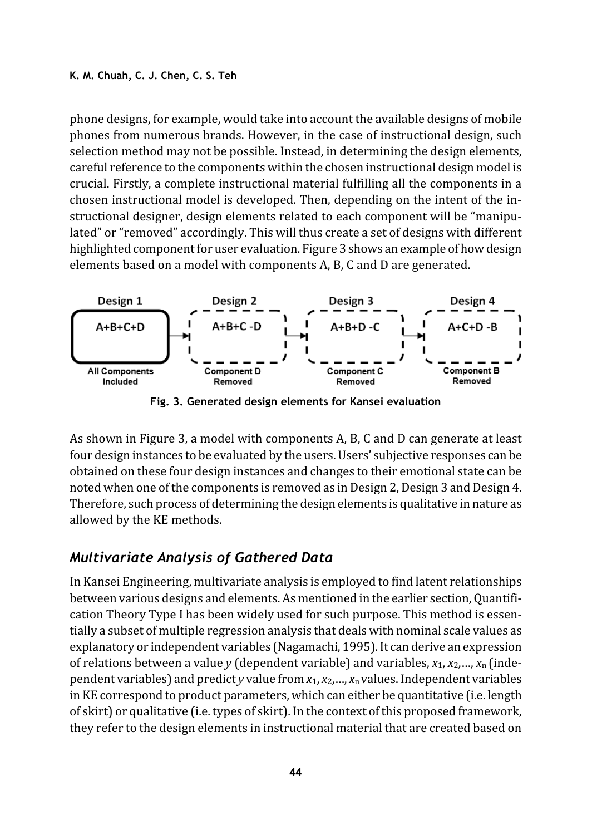phone designs, for example, would take into account the available designs of mobile phones from numerous brands. However, in the case of instructional design, such selection method may not be possible. Instead, in determining the design elements, careful reference to the components within the chosen instructional design model is crucial. Firstly, a complete instructional material fulfilling all the components in a chosen instructional model is developed. Then, depending on the intent of the instructional designer, design elements related to each component will be "manipulated" or "removed" accordingly. This will thus create a set of designs with different highlighted component for user evaluation. Figure 3 shows an example of how design elements based on a model with components A, B, C and D are generated.



Fig. 3. Generated design elements for Kansei evaluation

As shown in Figure 3, a model with components A, B, C and D can generate at least four design instances to be evaluated by the users. Users' subjective responses can be obtained on these four design instances and changes to their emotional state can be noted when one of the components is removed as in Design 2, Design 3 and Design 4. Therefore, such process of determining the design elements is qualitative in nature as allowed by the KE methods.

#### **Multivariate Analysis of Gathered Data**

In Kansei Engineering, multivariate analysis is employed to find latent relationships between various designs and elements. As mentioned in the earlier section, Quantification Theory Type I has been widely used for such purpose. This method is essentially a subset of multiple regression analysis that deals with nominal scale values as explanatory or independent variables (Nagamachi, 1995). It can derive an expression of relations between a value y (dependent variable) and variables,  $x_1, x_2, ..., x_n$  (independent variables) and predict y value from  $x_1, x_2, ..., x_n$  values. Independent variables in KE correspond to product parameters, which can either be quantitative (i.e. length of skirt) or qualitative (i.e. types of skirt). In the context of this proposed framework, they refer to the design elements in instructional material that are created based on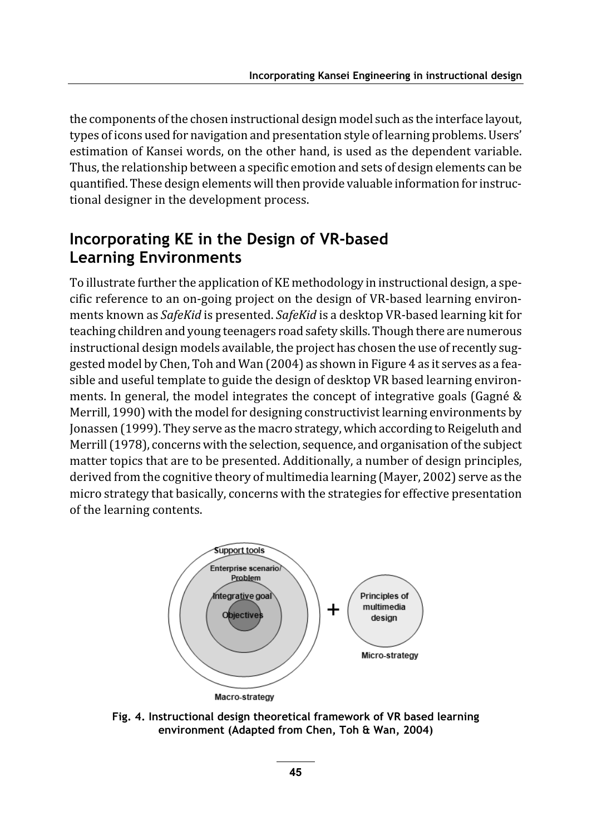the components of the chosen instructional design model such as the interface layout, types of icons used for navigation and presentation style of learning problems. Users' estimation of Kansei words, on the other hand, is used as the dependent variable. Thus, the relationship between a specific emotion and sets of design elements can be quantified. These design elements will then provide valuable information for instructional designer in the development process.

#### Incorporating KE in the Design of VR-based **Learning Environments**

To illustrate further the application of KE methodology in instructional design, a specific reference to an on-going project on the design of VR-based learning environments known as SafeKid is presented. SafeKid is a desktop VR-based learning kit for teaching children and young teenagers road safety skills. Though there are numerous instructional design models available, the project has chosen the use of recently suggested model by Chen, Toh and Wan (2004) as shown in Figure 4 as it serves as a feasible and useful template to guide the design of desktop VR based learning environments. In general, the model integrates the concept of integrative goals (Gagné & Merrill, 1990) with the model for designing constructivist learning environments by Jonassen (1999). They serve as the macro strategy, which according to Reigeluth and Merrill (1978), concerns with the selection, sequence, and organisation of the subject matter topics that are to be presented. Additionally, a number of design principles, derived from the cognitive theory of multimedia learning (Mayer, 2002) serve as the micro strategy that basically, concerns with the strategies for effective presentation of the learning contents.



Fig. 4. Instructional design theoretical framework of VR based learning environment (Adapted from Chen, Toh & Wan, 2004)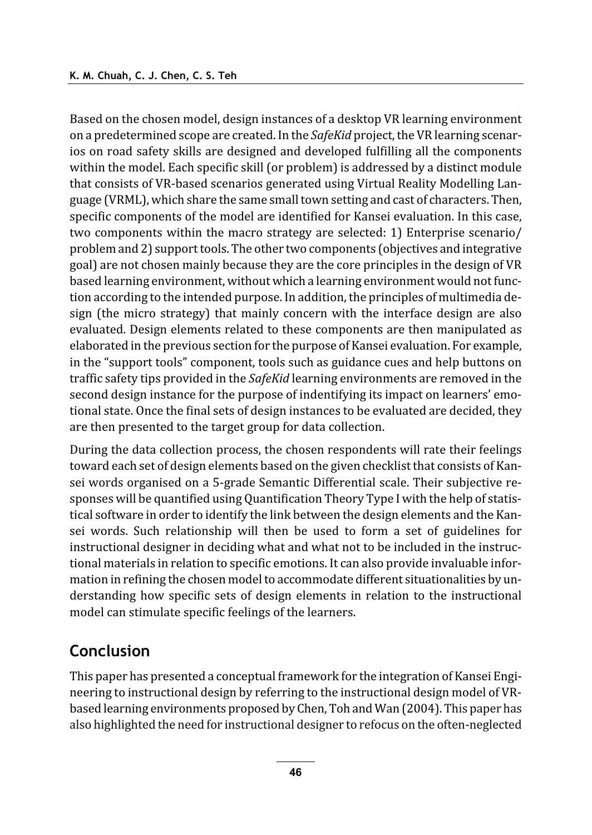Based on the chosen model, design instances of a desktop VR learning environment on a predetermined scope are created. In the SafeKid project, the VR learning scenarios on road safety skills are designed and developed fulfilling all the components within the model. Each specific skill (or problem) is addressed by a distinct module that consists of VR-based scenarios generated using Virtual Reality Modelling Language (VRML), which share the same small town setting and cast of characters. Then, specific components of the model are identified for Kansei evaluation. In this case, two components within the macro strategy are selected: 1) Enterprise scenario/ problem and 2) support tools. The other two components (objectives and integrative goal) are not chosen mainly because they are the core principles in the design of VR based learning environment, without which a learning environment would not function according to the intended purpose. In addition, the principles of multimedia design (the micro strategy) that mainly concern with the interface design are also evaluated. Design elements related to these components are then manipulated as elaborated in the previous section for the purpose of Kansei evaluation. For example, in the "support tools" component, tools such as guidance cues and help buttons on traffic safety tips provided in the SafeKid learning environments are removed in the second design instance for the purpose of indentifying its impact on learners' emotional state. Once the final sets of design instances to be evaluated are decided, they are then presented to the target group for data collection.

During the data collection process, the chosen respondents will rate their feelings toward each set of design elements based on the given checklist that consists of Kansei words organised on a 5-grade Semantic Differential scale. Their subjective responses will be quantified using Quantification Theory Type I with the help of statistical software in order to identify the link between the design elements and the Kansei words. Such relationship will then be used to form a set of guidelines for instructional designer in deciding what and what not to be included in the instructional materials in relation to specific emotions. It can also provide invaluable information in refining the chosen model to accommodate different situationalities by understanding how specific sets of design elements in relation to the instructional model can stimulate specific feelings of the learners.

#### Conclusion

This paper has presented a conceptual framework for the integration of Kansei Engineering to instructional design by referring to the instructional design model of VRbased learning environments proposed by Chen, Toh and Wan (2004). This paper has also highlighted the need for instructional designer to refocus on the often-neglected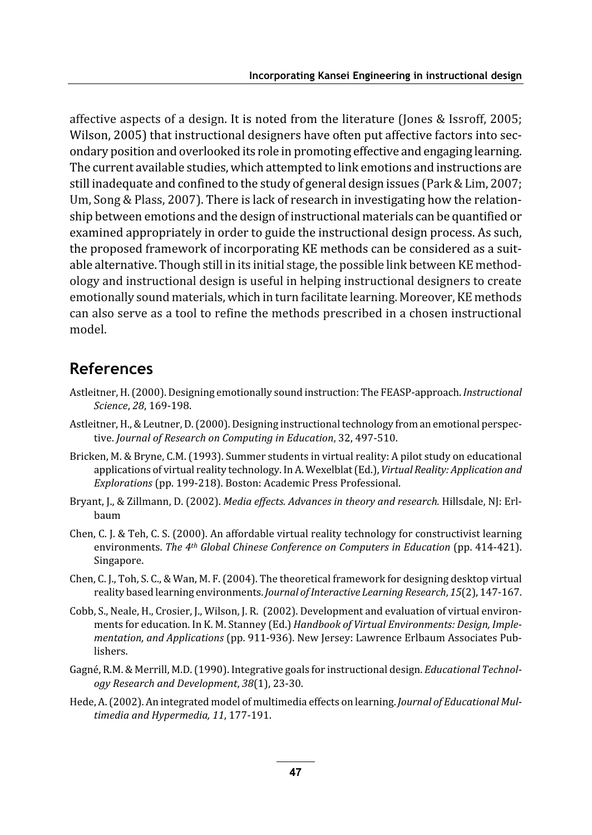affective aspects of a design. It is noted from the literature (Jones & Issroff, 2005; Wilson, 2005) that instructional designers have often put affective factors into secondary position and overlooked its role in promoting effective and engaging learning. The current available studies, which attempted to link emotions and instructions are still inadequate and confined to the study of general design issues (Park & Lim, 2007; Um, Song & Plass, 2007). There is lack of research in investigating how the relationship between emotions and the design of instructional materials can be quantified or examined appropriately in order to guide the instructional design process. As such, the proposed framework of incorporating KE methods can be considered as a suitable alternative. Though still in its initial stage, the possible link between KE methodology and instructional design is useful in helping instructional designers to create emotionally sound materials, which in turn facilitate learning. Moreover, KE methods can also serve as a tool to refine the methods prescribed in a chosen instructional model.

#### **References**

- Astleitner, H. (2000). Designing emotionally sound instruction: The FEASP-approach. Instructional Science, 28, 169-198.
- Astleitner, H., & Leutner, D. (2000). Designing instructional technology from an emotional perspective. Journal of Research on Computing in Education, 32, 497-510.
- Bricken, M. & Bryne, C.M. (1993). Summer students in virtual reality: A pilot study on educational applications of virtual reality technology. In A. Wexelblat (Ed.), Virtual Reality: Application and Explorations (pp. 199-218). Boston: Academic Press Professional.
- Bryant, J., & Zillmann, D. (2002). Media effects. Advances in theory and research. Hillsdale, NJ: Erlhaum
- Chen, C. J. & Teh, C. S. (2000). An affordable virtual reality technology for constructivist learning environments. The 4th Global Chinese Conference on Computers in Education (pp. 414-421). Singapore.
- Chen, C. J., Toh, S. C., & Wan, M. F. (2004). The theoretical framework for designing desktop virtual reality based learning environments. Journal of Interactive Learning Research, 15(2), 147-167.
- Cobb, S., Neale, H., Crosier, J., Wilson, J. R. (2002). Development and evaluation of virtual environments for education. In K. M. Stanney (Ed.) Handbook of Virtual Environments: Design, Implementation, and Applications (pp. 911-936). New Jersey: Lawrence Erlbaum Associates Publishers.
- Gagné, R.M. & Merrill, M.D. (1990). Integrative goals for instructional design. *Educational Technol*ogy Research and Development, 38(1), 23-30.
- Hede, A. (2002). An integrated model of multimedia effects on learning. Journal of Educational Multimedia and Hypermedia, 11, 177-191.